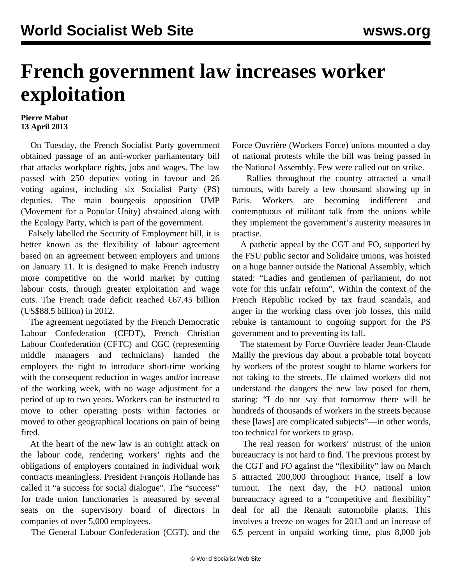## **French government law increases worker exploitation**

## **Pierre Mabut 13 April 2013**

 On Tuesday, the French Socialist Party government obtained passage of an anti-worker parliamentary bill that attacks workplace rights, jobs and wages. The law passed with 250 deputies voting in favour and 26 voting against, including six Socialist Party (PS) deputies. The main bourgeois opposition UMP (Movement for a Popular Unity) abstained along with the Ecology Party, which is part of the government.

 Falsely labelled the Security of Employment bill, it is better known as the flexibility of labour agreement based on an agreement between employers and unions on January 11. It is designed to make French industry more competitive on the world market by cutting labour costs, through greater exploitation and wage cuts. The French trade deficit reached  $\epsilon$ 67.45 billion (US\$88.5 billion) in 2012.

 The agreement negotiated by the French Democratic Labour Confederation (CFDT), French Christian Labour Confederation (CFTC) and CGC (representing middle managers and technicians) handed the employers the right to introduce short-time working with the consequent reduction in wages and/or increase of the working week, with no wage adjustment for a period of up to two years. Workers can be instructed to move to other operating posts within factories or moved to other geographical locations on pain of being fired.

 At the heart of the new law is an outright attack on the labour code, rendering workers' rights and the obligations of employers contained in individual work contracts meaningless. President François Hollande has called it "a success for social dialogue". The "success" for trade union functionaries is measured by several seats on the supervisory board of directors in companies of over 5,000 employees.

The General Labour Confederation (CGT), and the

Force Ouvrière (Workers Force) unions mounted a day of national protests while the bill was being passed in the National Assembly. Few were called out on strike.

 Rallies throughout the country attracted a small turnouts, with barely a few thousand showing up in Paris. Workers are becoming indifferent and contemptuous of militant talk from the unions while they implement the government's austerity measures in practise.

 A pathetic appeal by the CGT and FO, supported by the FSU public sector and Solidaire unions, was hoisted on a huge banner outside the National Assembly, which stated: "Ladies and gentlemen of parliament, do not vote for this unfair reform". Within the context of the French Republic rocked by tax fraud scandals, and anger in the working class over job losses, this mild rebuke is tantamount to ongoing support for the PS government and to preventing its fall.

 The statement by Force Ouvrière leader Jean-Claude Mailly the previous day about a probable total boycott by workers of the protest sought to blame workers for not taking to the streets. He claimed workers did not understand the dangers the new law posed for them, stating: "I do not say that tomorrow there will be hundreds of thousands of workers in the streets because these [laws] are complicated subjects"—in other words, too technical for workers to grasp.

 The real reason for workers' mistrust of the union bureaucracy is not hard to find. The previous protest by the CGT and FO against the "flexibility" law on March 5 attracted 200,000 throughout France, itself a low turnout. The next day, the FO national union bureaucracy agreed to a "competitive and flexibility" deal for all the Renault automobile plants. This involves a freeze on wages for 2013 and an increase of 6.5 percent in unpaid working time, plus 8,000 job